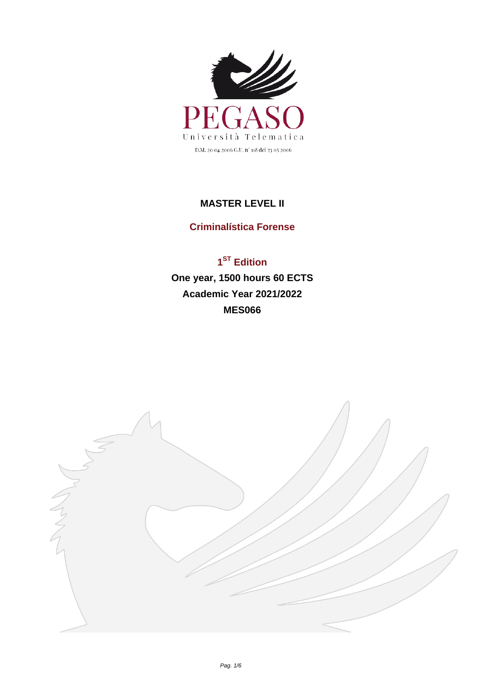

## **MASTER LEVEL II**

## **Criminalística Forense**

## **1 ST Edition One year, 1500 hours 60 ECTS Academic Year 2021/2022 MES066**

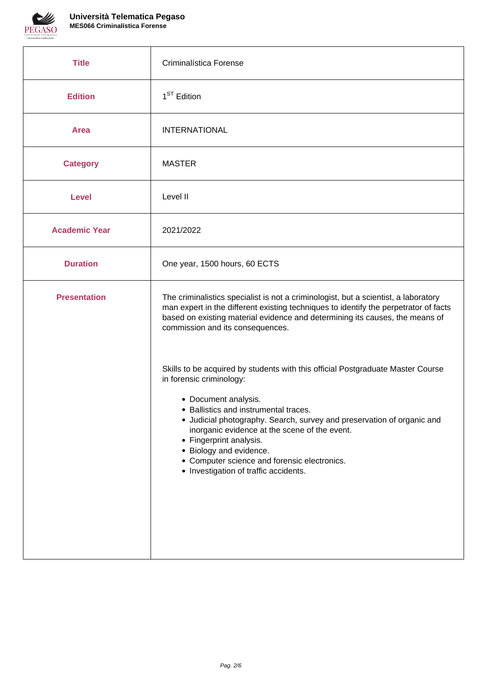

| <b>Title</b>         | Criminalística Forense                                                                                                                                                                                                                                                                                                                                                                                                                                 |
|----------------------|--------------------------------------------------------------------------------------------------------------------------------------------------------------------------------------------------------------------------------------------------------------------------------------------------------------------------------------------------------------------------------------------------------------------------------------------------------|
| <b>Edition</b>       | $1ST$ Edition                                                                                                                                                                                                                                                                                                                                                                                                                                          |
| <b>Area</b>          | <b>INTERNATIONAL</b>                                                                                                                                                                                                                                                                                                                                                                                                                                   |
| <b>Category</b>      | <b>MASTER</b>                                                                                                                                                                                                                                                                                                                                                                                                                                          |
| <b>Level</b>         | Level II                                                                                                                                                                                                                                                                                                                                                                                                                                               |
| <b>Academic Year</b> | 2021/2022                                                                                                                                                                                                                                                                                                                                                                                                                                              |
| <b>Duration</b>      | One year, 1500 hours, 60 ECTS                                                                                                                                                                                                                                                                                                                                                                                                                          |
| <b>Presentation</b>  | The criminalistics specialist is not a criminologist, but a scientist, a laboratory<br>man expert in the different existing techniques to identify the perpetrator of facts<br>based on existing material evidence and determining its causes, the means of<br>commission and its consequences.                                                                                                                                                        |
|                      | Skills to be acquired by students with this official Postgraduate Master Course<br>in forensic criminology:<br>• Document analysis.<br>• Ballistics and instrumental traces.<br>• Judicial photography. Search, survey and preservation of organic and<br>inorganic evidence at the scene of the event.<br>• Fingerprint analysis.<br>• Biology and evidence.<br>• Computer science and forensic electronics.<br>• Investigation of traffic accidents. |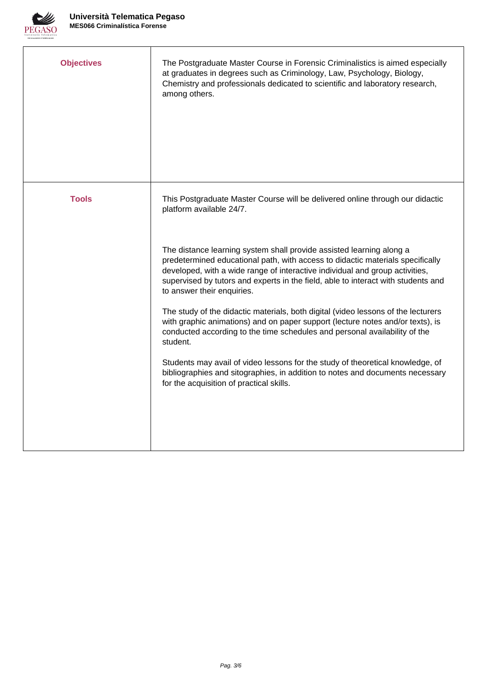

| <b>Objectives</b> | The Postgraduate Master Course in Forensic Criminalistics is aimed especially<br>at graduates in degrees such as Criminology, Law, Psychology, Biology,<br>Chemistry and professionals dedicated to scientific and laboratory research,<br>among others.                                                                                                                                                                                                                                                                                                                                                                                                                                                                                                                                                                                                                                                                                               |
|-------------------|--------------------------------------------------------------------------------------------------------------------------------------------------------------------------------------------------------------------------------------------------------------------------------------------------------------------------------------------------------------------------------------------------------------------------------------------------------------------------------------------------------------------------------------------------------------------------------------------------------------------------------------------------------------------------------------------------------------------------------------------------------------------------------------------------------------------------------------------------------------------------------------------------------------------------------------------------------|
| <b>Tools</b>      | This Postgraduate Master Course will be delivered online through our didactic<br>platform available 24/7.<br>The distance learning system shall provide assisted learning along a<br>predetermined educational path, with access to didactic materials specifically<br>developed, with a wide range of interactive individual and group activities,<br>supervised by tutors and experts in the field, able to interact with students and<br>to answer their enquiries.<br>The study of the didactic materials, both digital (video lessons of the lecturers<br>with graphic animations) and on paper support (lecture notes and/or texts), is<br>conducted according to the time schedules and personal availability of the<br>student.<br>Students may avail of video lessons for the study of theoretical knowledge, of<br>bibliographies and sitographies, in addition to notes and documents necessary<br>for the acquisition of practical skills. |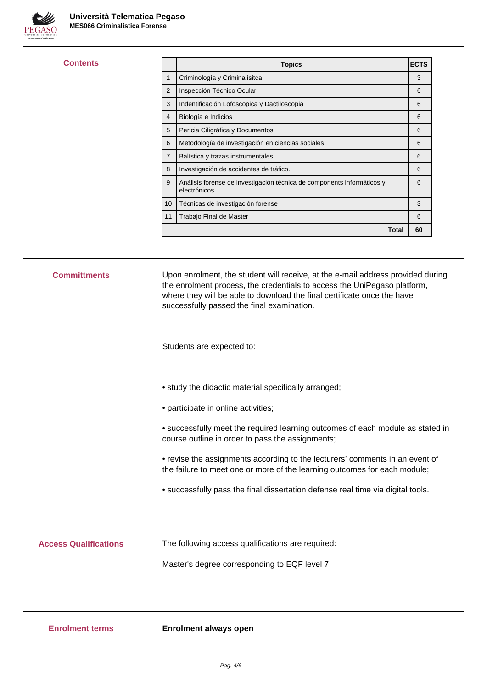

| <b>Contents</b>              |                 | <b>Topics</b>                                                                                                                                                                                                                                                                                                                                                                                                                                                                                                                                                                                                                           | <b>ECTS</b> |
|------------------------------|-----------------|-----------------------------------------------------------------------------------------------------------------------------------------------------------------------------------------------------------------------------------------------------------------------------------------------------------------------------------------------------------------------------------------------------------------------------------------------------------------------------------------------------------------------------------------------------------------------------------------------------------------------------------------|-------------|
|                              | 1               | Criminología y Criminalísitca                                                                                                                                                                                                                                                                                                                                                                                                                                                                                                                                                                                                           | 3           |
|                              | $\overline{2}$  | Inspección Técnico Ocular                                                                                                                                                                                                                                                                                                                                                                                                                                                                                                                                                                                                               | 6           |
|                              | 3               | Indentificación Lofoscopica y Dactiloscopia                                                                                                                                                                                                                                                                                                                                                                                                                                                                                                                                                                                             | 6           |
|                              | 4               | Biología e Indicios                                                                                                                                                                                                                                                                                                                                                                                                                                                                                                                                                                                                                     | 6           |
|                              | 5               | Pericia Ciligráfica y Documentos                                                                                                                                                                                                                                                                                                                                                                                                                                                                                                                                                                                                        | 6           |
|                              | 6               | Metodología de investigación en ciencias sociales                                                                                                                                                                                                                                                                                                                                                                                                                                                                                                                                                                                       | 6           |
|                              | 7               | Balística y trazas instrumentales                                                                                                                                                                                                                                                                                                                                                                                                                                                                                                                                                                                                       | 6           |
|                              | 8               | Investigación de accidentes de tráfico.                                                                                                                                                                                                                                                                                                                                                                                                                                                                                                                                                                                                 | 6           |
|                              | 9               | Análisis forense de investigación técnica de components informáticos y<br>electrónicos                                                                                                                                                                                                                                                                                                                                                                                                                                                                                                                                                  | 6           |
|                              | 10 <sup>°</sup> | Técnicas de investigación forense                                                                                                                                                                                                                                                                                                                                                                                                                                                                                                                                                                                                       | 3           |
|                              | 11              | Trabajo Final de Master                                                                                                                                                                                                                                                                                                                                                                                                                                                                                                                                                                                                                 | 6           |
|                              |                 | <b>Total</b>                                                                                                                                                                                                                                                                                                                                                                                                                                                                                                                                                                                                                            | 60          |
|                              |                 | where they will be able to download the final certificate once the have<br>successfully passed the final examination.<br>Students are expected to:<br>• study the didactic material specifically arranged;<br>• participate in online activities;<br>• successfully meet the required learning outcomes of each module as stated in<br>course outline in order to pass the assignments;<br>• revise the assignments according to the lecturers' comments in an event of<br>the failure to meet one or more of the learning outcomes for each module;<br>• successfully pass the final dissertation defense real time via digital tools. |             |
| <b>Access Qualifications</b> |                 | The following access qualifications are required:<br>Master's degree corresponding to EQF level 7                                                                                                                                                                                                                                                                                                                                                                                                                                                                                                                                       |             |
| <b>Enrolment terms</b>       |                 | <b>Enrolment always open</b>                                                                                                                                                                                                                                                                                                                                                                                                                                                                                                                                                                                                            |             |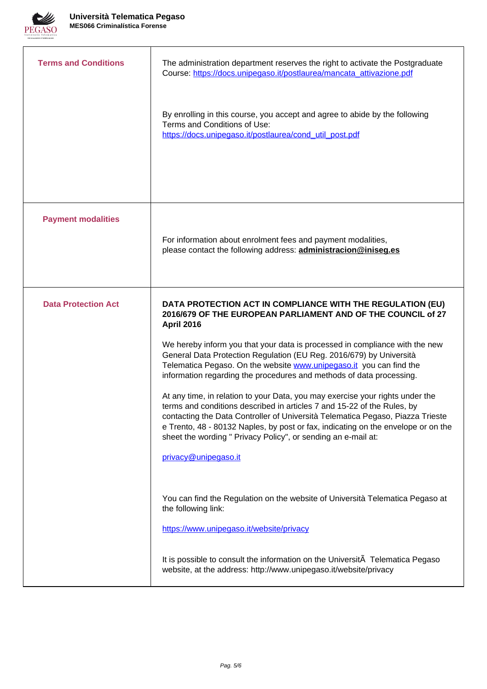

| <b>Terms and Conditions</b> | The administration department reserves the right to activate the Postgraduate<br>Course: https://docs.unipegaso.it/postlaurea/mancata_attivazione.pdf                                                                                                                                                                                                                                            |
|-----------------------------|--------------------------------------------------------------------------------------------------------------------------------------------------------------------------------------------------------------------------------------------------------------------------------------------------------------------------------------------------------------------------------------------------|
|                             | By enrolling in this course, you accept and agree to abide by the following<br>Terms and Conditions of Use:<br>https://docs.unipegaso.it/postlaurea/cond_util_post.pdf                                                                                                                                                                                                                           |
| <b>Payment modalities</b>   |                                                                                                                                                                                                                                                                                                                                                                                                  |
|                             | For information about enrolment fees and payment modalities,<br>please contact the following address: administracion@iniseq.es                                                                                                                                                                                                                                                                   |
| <b>Data Protection Act</b>  | DATA PROTECTION ACT IN COMPLIANCE WITH THE REGULATION (EU)<br>2016/679 OF THE EUROPEAN PARLIAMENT AND OF THE COUNCIL of 27<br><b>April 2016</b>                                                                                                                                                                                                                                                  |
|                             | We hereby inform you that your data is processed in compliance with the new<br>General Data Protection Regulation (EU Reg. 2016/679) by Università<br>Telematica Pegaso. On the website www.unipegaso.it you can find the<br>information regarding the procedures and methods of data processing.                                                                                                |
|                             | At any time, in relation to your Data, you may exercise your rights under the<br>terms and conditions described in articles 7 and 15-22 of the Rules, by<br>contacting the Data Controller of Università Telematica Pegaso, Piazza Trieste<br>e Trento, 48 - 80132 Naples, by post or fax, indicating on the envelope or on the<br>sheet the wording " Privacy Policy", or sending an e-mail at: |
|                             | privacy@unipegaso.it                                                                                                                                                                                                                                                                                                                                                                             |
|                             | You can find the Regulation on the website of Università Telematica Pegaso at<br>the following link:                                                                                                                                                                                                                                                                                             |
|                             | https://www.unipegaso.it/website/privacy                                                                                                                                                                                                                                                                                                                                                         |
|                             | It is possible to consult the information on the UniversitA Telematica Pegaso<br>website, at the address: http://www.unipegaso.it/website/privacy                                                                                                                                                                                                                                                |